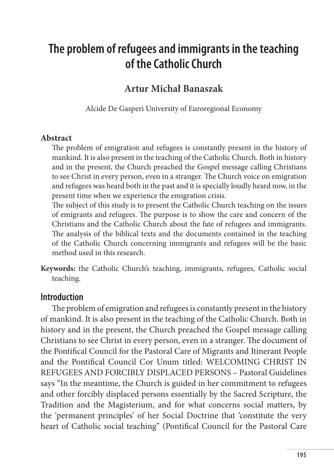# **The problem of refugees and immigrants in the teaching of the Catholic Church**

### **Artur Michał Banaszak**

Alcide De Gasperi University of Euroregional Economy

#### **Abstract**

The problem of emigration and refugees is constantly present in the history of mankind. It is also present in the teaching of the Catholic Church. Both in history and in the present, the Church preached the Gospel message calling Christians to see Christ in every person, even in a stranger. The Church voice on emigration and refugees was heard both in the past and it is specially loudly heard now, in the present time when we experience the emigration crisis.

The subject of this study is to present the Catholic Church teaching on the issues of emigrants and refugees. The purpose is to show the care and concern of the Christians and the Catholic Church about the fate of refugees and immigrants. The analysis of the biblical texts and the documents contained in the teaching of the Catholic Church concerning immigrants and refugees will be the basic method used in this research.

**Keywords:** the Catholic Church's teaching, immigrants, refugees, Catholic social teaching.

#### **Introduction**

The problem of emigration and refugees is constantly present in the history of mankind. It is also present in the teaching of the Catholic Church. Both in history and in the present, the Church preached the Gospel message calling Christians to see Christ in every person, even in a stranger. The document of the Pontifical Council for the Pastoral Care of Migrants and Itinerant People and the Pontifical Council Cor Unum titled: WELCOMING CHRIST IN REFUGEES AND FORCIBLY DISPLACED PERSONS – Pastoral Guidelines says "In the meantime, the Church is guided in her commitment to refugees and other forcibly displaced persons essentially by the Sacred Scripture, the Tradition and the Magisterium, and for what concerns social matters, by the 'permanent principles' of her Social Doctrine that 'constitute the very heart of Catholic social teaching" (Pontifical Council for the Pastoral Care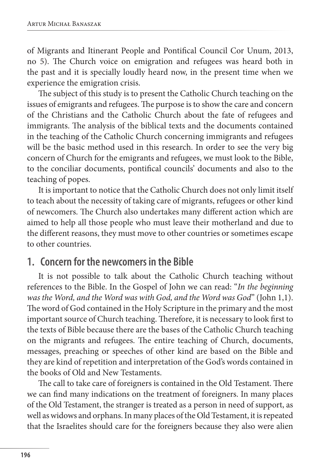of Migrants and Itinerant People and Pontifical Council Cor Unum, 2013, no 5). The Church voice on emigration and refugees was heard both in the past and it is specially loudly heard now, in the present time when we experience the emigration crisis.

The subject of this study is to present the Catholic Church teaching on the issues of emigrants and refugees. The purpose is to show the care and concern of the Christians and the Catholic Church about the fate of refugees and immigrants. The analysis of the biblical texts and the documents contained in the teaching of the Catholic Church concerning immigrants and refugees will be the basic method used in this research. In order to see the very big concern of Church for the emigrants and refugees, we must look to the Bible, to the conciliar documents, pontifical councils' documents and also to the teaching of popes.

It is important to notice that the Catholic Church does not only limit itself to teach about the necessity of taking care of migrants, refugees or other kind of newcomers. The Church also undertakes many different action which are aimed to help all those people who must leave their motherland and due to the different reasons, they must move to other countries or sometimes escape to other countries.

### **1. Concern for the newcomers in the Bible**

It is not possible to talk about the Catholic Church teaching without references to the Bible. In the Gospel of John we can read: "*In the beginning was the Word, and the Word was with God, and the Word was God*" (John 1,1). The word of God contained in the Holy Scripture in the primary and the most important source of Church teaching. Therefore, it is necessary to look first to the texts of Bible because there are the bases of the Catholic Church teaching on the migrants and refugees. The entire teaching of Church, documents, messages, preaching or speeches of other kind are based on the Bible and they are kind of repetition and interpretation of the God's words contained in the books of Old and New Testaments.

The call to take care of foreigners is contained in the Old Testament. There we can find many indications on the treatment of foreigners. In many places of the Old Testament, the stranger is treated as a person in need of support, as well as widows and orphans. In many places of the Old Testament, it is repeated that the Israelites should care for the foreigners because they also were alien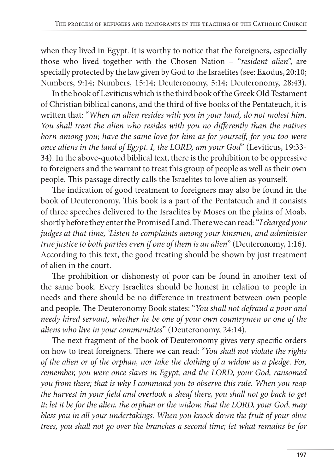when they lived in Egypt. It is worthy to notice that the foreigners, especially those who lived together with the Chosen Nation – "*resident alien*", are specially protected by the law given by God to the Israelites (see: Exodus, 20:10; Numbers, 9:14; Numbers, 15:14; Deuteronomy, 5:14; Deuteronomy, 28:43).

In the book of Leviticus which is the third book of the Greek Old Testament of Christian biblical canons, and the third of five books of the Pentateuch, it is written that: "*When an alien resides with you in your land, do not molest him. You shall treat the alien who resides with you no differently than the natives born among you; have the same love for him as for yourself; for you too were once aliens in the land of Egypt. I, the LORD, am your God*" (Leviticus, 19:33- 34). In the above-quoted biblical text, there is the prohibition to be oppressive to foreigners and the warrant to treat this group of people as well as their own people. This passage directly calls the Israelites to love alien as yourself.

The indication of good treatment to foreigners may also be found in the book of Deuteronomy. This book is a part of the Pentateuch and it consists of three speeches delivered to the Israelites by Moses on the plains of Moab, shortly before they enter the Promised Land. There we can read: "*I charged your judges at that time, 'Listen to complaints among your kinsmen, and administer true justice to both parties even if one of them is an alien*" (Deuteronomy, 1:16). According to this text, the good treating should be shown by just treatment of alien in the court.

The prohibition or dishonesty of poor can be found in another text of the same book. Every Israelites should be honest in relation to people in needs and there should be no difference in treatment between own people and people. The Deuteronomy Book states: "*You shall not defraud a poor and needy hired servant, whether he be one of your own countrymen or one of the aliens who live in your communities*" (Deuteronomy, 24:14).

The next fragment of the book of Deuteronomy gives very specific orders on how to treat foreigners. There we can read: "*You shall not violate the rights of the alien or of the orphan, nor take the clothing of a widow as a pledge. For, remember, you were once slaves in Egypt, and the LORD, your God, ransomed you from there; that is why I command you to observe this rule. When you reap the harvest in your field and overlook a sheaf there, you shall not go back to get it; let it be for the alien, the orphan or the widow, that the LORD, your God, may bless you in all your undertakings. When you knock down the fruit of your olive trees, you shall not go over the branches a second time; let what remains be for*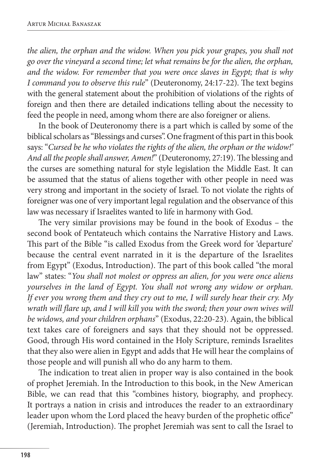*the alien, the orphan and the widow. When you pick your grapes, you shall not go over the vineyard a second time; let what remains be for the alien, the orphan, and the widow. For remember that you were once slaves in Egypt; that is why I command you to observe this rule*" (Deuteronomy, 24:17-22). The text begins with the general statement about the prohibition of violations of the rights of foreign and then there are detailed indications telling about the necessity to feed the people in need, among whom there are also foreigner or aliens.

In the book of Deuteronomy there is a part which is called by some of the biblical scholars as "Blessings and curses". One fragment of this part in this book says: "*Cursed be he who violates the rights of the alien, the orphan or the widow!' And all the people shall answer, Amen!*" (Deuteronomy, 27:19). The blessing and the curses are something natural for style legislation the Middle East. It can be assumed that the status of aliens together with other people in need was very strong and important in the society of Israel. To not violate the rights of foreigner was one of very important legal regulation and the observance of this law was necessary if Israelites wanted to life in harmony with God.

The very similar provisions may be found in the book of Exodus – the second book of Pentateuch which contains the Narrative History and Laws. This part of the Bible "is called Exodus from the Greek word for 'departure' because the central event narrated in it is the departure of the Israelites from Egypt" (Exodus, Introduction). The part of this book called "the moral law" states: "*You shall not molest or oppress an alien, for you were once aliens yourselves in the land of Egypt. You shall not wrong any widow or orphan. If ever you wrong them and they cry out to me, I will surely hear their cry. My wrath will flare up, and I will kill you with the sword; then your own wives will be widows, and your children orphans*" (Exodus, 22:20-23). Again, the biblical text takes care of foreigners and says that they should not be oppressed. Good, through His word contained in the Holy Scripture, reminds Israelites that they also were alien in Egypt and adds that He will hear the complains of those people and will punish all who do any harm to them.

The indication to treat alien in proper way is also contained in the book of prophet Jeremiah. In the Introduction to this book, in the New American Bible, we can read that this "combines history, biography, and prophecy. It portrays a nation in crisis and introduces the reader to an extraordinary leader upon whom the Lord placed the heavy burden of the prophetic office" (Jeremiah, Introduction). The prophet Jeremiah was sent to call the Israel to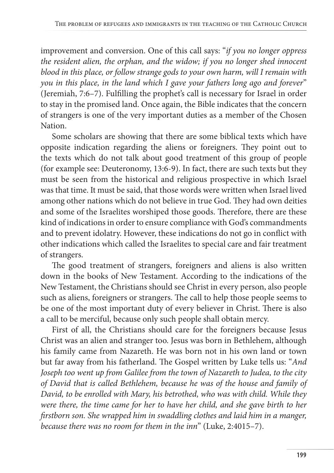improvement and conversion. One of this call says: "*if you no longer oppress the resident alien, the orphan, and the widow; if you no longer shed innocent blood in this place, or follow strange gods to your own harm, will I remain with you in this place, in the land which I gave your fathers long ago and forever*" (Jeremiah, 7:6–7). Fulfilling the prophet's call is necessary for Israel in order to stay in the promised land. Once again, the Bible indicates that the concern of strangers is one of the very important duties as a member of the Chosen Nation.

Some scholars are showing that there are some biblical texts which have opposite indication regarding the aliens or foreigners. They point out to the texts which do not talk about good treatment of this group of people (for example see: Deuteronomy, 13:6-9). In fact, there are such texts but they must be seen from the historical and religious prospective in which Israel was that time. It must be said, that those words were written when Israel lived among other nations which do not believe in true God. They had own deities and some of the Israelites worshiped those goods. Therefore, there are these kind of indications in order to ensure compliance with God's commandments and to prevent idolatry. However, these indications do not go in conflict with other indications which called the Israelites to special care and fair treatment of strangers.

The good treatment of strangers, foreigners and aliens is also written down in the books of New Testament. According to the indications of the New Testament, the Christians should see Christ in every person, also people such as aliens, foreigners or strangers. The call to help those people seems to be one of the most important duty of every believer in Christ. There is also a call to be merciful, because only such people shall obtain mercy.

First of all, the Christians should care for the foreigners because Jesus Christ was an alien and stranger too. Jesus was born in Bethlehem, although his family came from Nazareth. He was born not in his own land or town but far away from his fatherland. The Gospel written by Luke tells us: "*And Joseph too went up from Galilee from the town of Nazareth to Judea, to the city of David that is called Bethlehem, because he was of the house and family of David, to be enrolled with Mary, his betrothed, who was with child. While they were there, the time came for her to have her child, and she gave birth to her firstborn son. She wrapped him in swaddling clothes and laid him in a manger, because there was no room for them in the inn*" (Luke, 2:4015–7).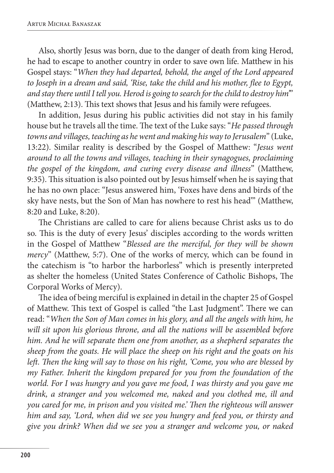Also, shortly Jesus was born, due to the danger of death from king Herod, he had to escape to another country in order to save own life. Matthew in his Gospel stays: "*When they had departed, behold, the angel of the Lord appeared to Joseph in a dream and said, 'Rise, take the child and his mother, flee to Egypt, and stay there until I tell you. Herod is going to search for the child to destroy him'*" (Matthew, 2:13). This text shows that Jesus and his family were refugees.

In addition, Jesus during his public activities did not stay in his family house but he travels all the time. The text of the Luke says: "*He passed through towns and villages, teaching as he went and making his way to Jerusalem*" (Luke, 13:22). Similar reality is described by the Gospel of Matthew: "*Jesus went around to all the towns and villages, teaching in their synagogues, proclaiming the gospel of the kingdom, and curing every disease and illness*" (Matthew, 9:35). This situation is also pointed out by Jesus himself when he is saying that he has no own place: "Jesus answered him, 'Foxes have dens and birds of the sky have nests, but the Son of Man has nowhere to rest his head'" (Matthew, 8:20 and Luke, 8:20).

The Christians are called to care for aliens because Christ asks us to do so. This is the duty of every Jesus' disciples according to the words written in the Gospel of Matthew "*Blessed are the merciful, for they will be shown mercy*" (Matthew, 5:7). One of the works of mercy, which can be found in the catechism is "to harbor the harborless" which is presently interpreted as shelter the homeless (United States Conference of Catholic Bishops, The Corporal Works of Mercy).

The idea of being merciful is explained in detail in the chapter 25 of Gospel of Matthew. This text of Gospel is called "the Last Judgment". There we can read: "*When the Son of Man comes in his glory, and all the angels with him, he will sit upon his glorious throne, and all the nations will be assembled before him. And he will separate them one from another, as a shepherd separates the sheep from the goats. He will place the sheep on his right and the goats on his left. Then the king will say to those on his right, 'Come, you who are blessed by my Father. Inherit the kingdom prepared for you from the foundation of the world. For I was hungry and you gave me food, I was thirsty and you gave me drink, a stranger and you welcomed me, naked and you clothed me, ill and you cared for me, in prison and you visited me.' Then the righteous will answer him and say, 'Lord, when did we see you hungry and feed you, or thirsty and give you drink? When did we see you a stranger and welcome you, or naked*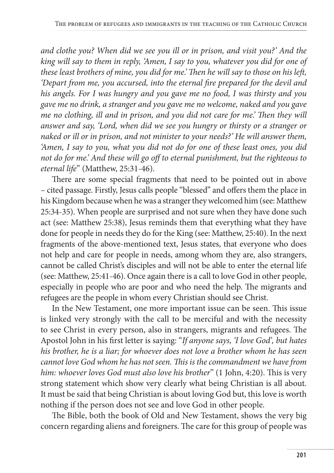*and clothe you? When did we see you ill or in prison, and visit you?' And the king will say to them in reply, 'Amen, I say to you, whatever you did for one of these least brothers of mine, you did for me.' Then he will say to those on his left, 'Depart from me, you accursed, into the eternal fire prepared for the devil and his angels. For I was hungry and you gave me no food, I was thirsty and you gave me no drink, a stranger and you gave me no welcome, naked and you gave me no clothing, ill and in prison, and you did not care for me.' Then they will answer and say, 'Lord, when did we see you hungry or thirsty or a stranger or naked or ill or in prison, and not minister to your needs?' He will answer them, 'Amen, I say to you, what you did not do for one of these least ones, you did not do for me.' And these will go off to eternal punishment, but the righteous to eternal life*" (Matthew, 25:31-46).

There are some special fragments that need to be pointed out in above – cited passage. Firstly, Jesus calls people "blessed" and offers them the place in his Kingdom because when he was a stranger they welcomed him (see: Matthew 25:34-35). When people are surprised and not sure when they have done such act (see: Matthew 25:38), Jesus reminds them that everything what they have done for people in needs they do for the King (see: Matthew, 25:40). In the next fragments of the above-mentioned text, Jesus states, that everyone who does not help and care for people in needs, among whom they are, also strangers, cannot be called Christ's disciples and will not be able to enter the eternal life (see: Matthew, 25:41-46). Once again there is a call to love God in other people, especially in people who are poor and who need the help. The migrants and refugees are the people in whom every Christian should see Christ.

In the New Testament, one more important issue can be seen. This issue is linked very strongly with the call to be merciful and with the necessity to see Christ in every person, also in strangers, migrants and refugees. The Apostol John in his first letter is saying: "*If anyone says, 'I love God', but hates his brother, he is a liar; for whoever does not love a brother whom he has seen cannot love God whom he has not seen. This is the commandment we have from him: whoever loves God must also love his brother*" (1 John, 4:20). This is very strong statement which show very clearly what being Christian is all about. It must be said that being Christian is about loving God but, this love is worth nothing if the person does not see and love God in other people.

The Bible, both the book of Old and New Testament, shows the very big concern regarding aliens and foreigners. The care for this group of people was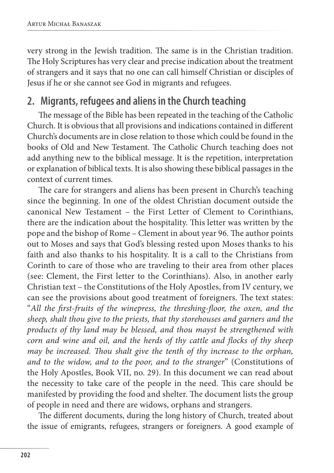very strong in the Jewish tradition. The same is in the Christian tradition. The Holy Scriptures has very clear and precise indication about the treatment of strangers and it says that no one can call himself Christian or disciples of Jesus if he or she cannot see God in migrants and refugees.

# **2. Migrants, refugees and aliens in the Church teaching**

The message of the Bible has been repeated in the teaching of the Catholic Church. It is obvious that all provisions and indications contained in different Church's documents are in close relation to those which could be found in the books of Old and New Testament. The Catholic Church teaching does not add anything new to the biblical message. It is the repetition, interpretation or explanation of biblical texts. It is also showing these biblical passages in the context of current times.

The care for strangers and aliens has been present in Church's teaching since the beginning. In one of the oldest Christian document outside the canonical New Testament – the First Letter of Clement to Corinthians, there are the indication about the hospitality. This letter was written by the pope and the bishop of Rome – Clement in about year 96. The author points out to Moses and says that God's blessing rested upon Moses thanks to his faith and also thanks to his hospitality. It is a call to the Christians from Corinth to care of those who are traveling to their area from other places (see: Clement, the First letter to the Corinthians). Also, in another early Christian text – the Constitutions of the Holy Apostles, from IV century, we can see the provisions about good treatment of foreigners. The text states: "*All the first-fruits of the winepress, the threshing-floor, the oxen, and the sheep, shalt thou give to the priests, that thy storehouses and garners and the products of thy land may be blessed, and thou mayst be strengthened with corn and wine and oil, and the herds of thy cattle and flocks of thy sheep may be increased. Thou shalt give the tenth of thy increase to the orphan, and to the widow, and to the poor, and to the stranger*" (Constitutions of the Holy Apostles, Book VII, no. 29). In this document we can read about the necessity to take care of the people in the need. This care should be manifested by providing the food and shelter. The document lists the group of people in need and there are widows, orphans and strangers.

The different documents, during the long history of Church, treated about the issue of emigrants, refugees, strangers or foreigners. A good example of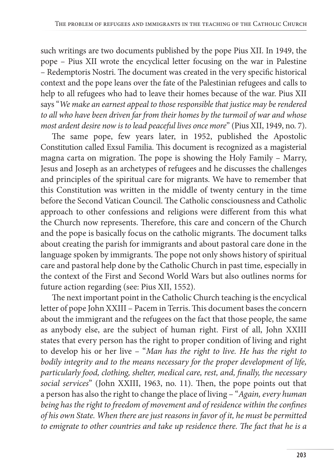such writings are two documents published by the pope Pius XII. In 1949, the pope – Pius XII wrote the encyclical letter focusing on the war in Palestine – Redemptoris Nostri. The document was created in the very specific historical context and the pope leans over the fate of the Palestinian refugees and calls to help to all refugees who had to leave their homes because of the war. Pius XII says "*We make an earnest appeal to those responsible that justice may be rendered to all who have been driven far from their homes by the turmoil of war and whose most ardent desire now is to lead peaceful lives once more*" (Pius XII, 1949, no. 7).

The same pope, few years later, in 1952, published the Apostolic Constitution called Exsul Familia. This document is recognized as a magisterial magna carta on migration. The pope is showing the Holy Family – Marry, Jesus and Joseph as an archetypes of refugees and he discusses the challenges and principles of the spiritual care for migrants. We have to remember that this Constitution was written in the middle of twenty century in the time before the Second Vatican Council. The Catholic consciousness and Catholic approach to other confessions and religions were different from this what the Church now represents. Therefore, this care and concern of the Church and the pope is basically focus on the catholic migrants. The document talks about creating the parish for immigrants and about pastoral care done in the language spoken by immigrants. The pope not only shows history of spiritual care and pastoral help done by the Catholic Church in past time, especially in the context of the First and Second World Wars but also outlines norms for future action regarding (see: Pius XII, 1552).

The next important point in the Catholic Church teaching is the encyclical letter of pope John XXIII – Pacem in Terris. This document bases the concern about the immigrant and the refugees on the fact that those people, the same as anybody else, are the subject of human right. First of all, John XXIII states that every person has the right to proper condition of living and right to develop his or her live – "*Man has the right to live. He has the right to bodily integrity and to the means necessary for the proper development of life, particularly food, clothing, shelter, medical care, rest, and, finally, the necessary social services*" (John XXIII, 1963, no. 11). Then, the pope points out that a person has also the right to change the place of living – "*Again, every human being has the right to freedom of movement and of residence within the confines of his own State. When there are just reasons in favor of it, he must be permitted to emigrate to other countries and take up residence there. The fact that he is a*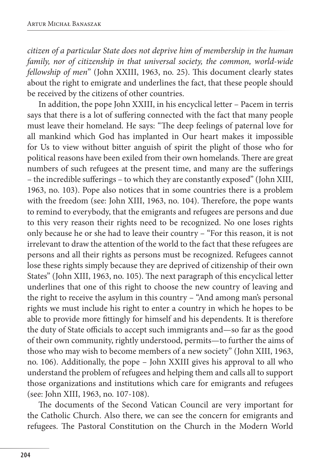*citizen of a particular State does not deprive him of membership in the human family, nor of citizenship in that universal society, the common, world-wide fellowship of men*" (John XXIII, 1963, no. 25). This document clearly states about the right to emigrate and underlines the fact, that these people should be received by the citizens of other countries.

In addition, the pope John XXIII, in his encyclical letter – Pacem in terris says that there is a lot of suffering connected with the fact that many people must leave their homeland. He says: "The deep feelings of paternal love for all mankind which God has implanted in Our heart makes it impossible for Us to view without bitter anguish of spirit the plight of those who for political reasons have been exiled from their own homelands. There are great numbers of such refugees at the present time, and many are the sufferings – the incredible sufferings – to which they are constantly exposed" (John XIII, 1963, no. 103). Pope also notices that in some countries there is a problem with the freedom (see: John XIII, 1963, no. 104). Therefore, the pope wants to remind to everybody, that the emigrants and refugees are persons and due to this very reason their rights need to be recognized. No one loses rights only because he or she had to leave their country – "For this reason, it is not irrelevant to draw the attention of the world to the fact that these refugees are persons and all their rights as persons must be recognized. Refugees cannot lose these rights simply because they are deprived of citizenship of their own States" (John XIII, 1963, no. 105). The next paragraph of this encyclical letter underlines that one of this right to choose the new country of leaving and the right to receive the asylum in this country – "And among man's personal rights we must include his right to enter a country in which he hopes to be able to provide more fittingly for himself and his dependents. It is therefore the duty of State officials to accept such immigrants and—so far as the good of their own community, rightly understood, permits—to further the aims of those who may wish to become members of a new society" (John XIII, 1963, no. 106). Additionally, the pope – John XXIII gives his approval to all who understand the problem of refugees and helping them and calls all to support those organizations and institutions which care for emigrants and refugees (see: John XIII, 1963, no. 107-108).

The documents of the Second Vatican Council are very important for the Catholic Church. Also there, we can see the concern for emigrants and refugees. The Pastoral Constitution on the Church in the Modern World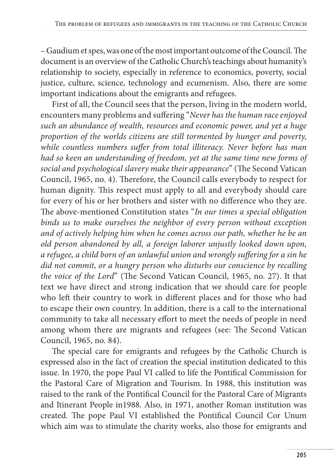– Gaudium et spes, was one of the most important outcome of the Council. The document is an overview of the Catholic Church's teachings about humanity's relationship to society, especially in reference to economics, poverty, social justice, culture, science, technology and ecumenism. Also, there are some important indications about the emigrants and refugees.

First of all, the Council sees that the person, living in the modern world, encounters many problems and suffering "*Never has the human race enjoyed such an abundance of wealth, resources and economic power, and yet a huge proportion of the worlds citizens are still tormented by hunger and poverty, while countless numbers suffer from total illiteracy. Never before has man had so keen an understanding of freedom, yet at the same time new forms of social and psychological slavery make their appearance*" (The Second Vatican Council, 1965, no. 4). Therefore, the Council calls everybody to respect for human dignity. This respect must apply to all and everybody should care for every of his or her brothers and sister with no difference who they are. The above-mentioned Constitution states "*In our times a special obligation binds us to make ourselves the neighbor of every person without exception and of actively helping him when he comes across our path, whether he be an old person abandoned by all, a foreign laborer unjustly looked down upon, a refugee, a child born of an unlawful union and wrongly suffering for a sin he did not commit, or a hungry person who disturbs our conscience by recalling the voice of the Lord*" (The Second Vatican Council, 1965, no. 27). It that text we have direct and strong indication that we should care for people who left their country to work in different places and for those who had to escape their own country. In addition, there is a call to the international community to take all necessary effort to meet the needs of people in need among whom there are migrants and refugees (see: The Second Vatican Council, 1965, no. 84).

The special care for emigrants and refugees by the Catholic Church is expressed also in the fact of creation the special institution dedicated to this issue. In 1970, the pope Paul VI called to life the Pontifical Commission for the Pastoral Care of Migration and Tourism. In 1988, this institution was raised to the rank of the Pontifical Council for the Pastoral Care of Migrants and Itinerant People in1988. Also, in 1971, another Roman institution was created. The pope Paul VI established the Pontifical Council Cor Unum which aim was to stimulate the charity works, also those for emigrants and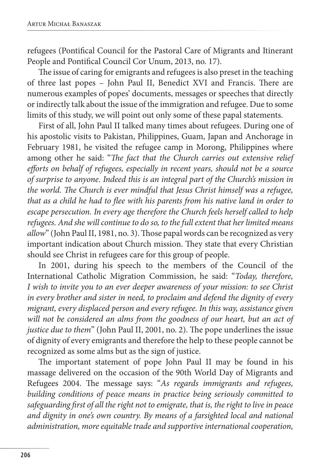refugees (Pontifical Council for the Pastoral Care of Migrants and Itinerant People and Pontifical Council Cor Unum, 2013, no. 17).

The issue of caring for emigrants and refugees is also preset in the teaching of three last popes – John Paul II, Benedict XVI and Francis. There are numerous examples of popes' documents, messages or speeches that directly or indirectly talk about the issue of the immigration and refugee. Due to some limits of this study, we will point out only some of these papal statements.

First of all, John Paul II talked many times about refugees. During one of his apostolic visits to Pakistan, Philippines, Guam, Japan and Anchorage in February 1981, he visited the refugee camp in Morong, Philippines where among other he said: "*The fact that the Church carries out extensive relief efforts on behalf of refugees, especially in recent years, should not be a source of surprise to anyone. Indeed this is an integral part of the Church's mission in the world. The Church is ever mindful that Jesus Christ himself was a refugee, that as a child he had to flee with his parents from his native land in order to escape persecution. In every age therefore the Church feels herself called to help refugees. And she will continue to do so, to the full extent that her limited means allow*" (John Paul II, 1981, no. 3). Those papal words can be recognized as very important indication about Church mission. They state that every Christian should see Christ in refugees care for this group of people.

In 2001, during his speech to the members of the Council of the International Catholic Migration Commission, he said: "*Today, therefore, I wish to invite you to an ever deeper awareness of your mission: to see Christ in every brother and sister in need, to proclaim and defend the dignity of every migrant, every displaced person and every refugee. In this way, assistance given will not be considered an alms from the goodness of our heart, but an act of justice due to them*" (John Paul II, 2001, no. 2). The pope underlines the issue of dignity of every emigrants and therefore the help to these people cannot be recognized as some alms but as the sign of justice.

The important statement of pope John Paul II may be found in his massage delivered on the occasion of the 90th World Day of Migrants and Refugees 2004. The message says: "*As regards immigrants and refugees, building conditions of peace means in practice being seriously committed to safeguarding first of all the right not to emigrate, that is, the right to live in peace and dignity in one's own country. By means of a farsighted local and national administration, more equitable trade and supportive international cooperation,*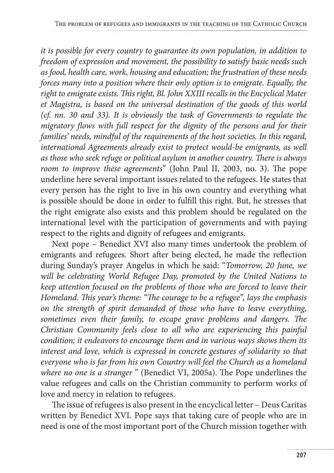*it is possible for every country to guarantee its own population, in addition to freedom of expression and movement, the possibility to satisfy basic needs such as food, health care, work, housing and education; the frustration of these needs forces many into a position where their only option is to emigrate. Equally, the right to emigrate exists. This right, Bl. John XXIII recalls in the Encyclical Mater et Magistra, is based on the universal destination of the goods of this world (cf. nn. 30 and 33). It is obviously the task of Governments to regulate the migratory flows with full respect for the dignity of the persons and for their families' needs, mindful of the requirements of the host societies. In this regard, international Agreements already exist to protect would-be emigrants, as well as those who seek refuge or political asylum in another country. There is always room to improve these agreements*" (John Paul II, 2003, no. 3). The pope underline here several important issues related to the refugees. He states that every person has the right to live in his own country and everything what is possible should be done in order to fulfill this right. But, he stresses that the right emigrate also exists and this problem should be regulated on the international level with the participation of governments and with paying respect to the rights and dignity of refugees and emigrants.

Next pope – Benedict XVI also many times undertook the problem of emigrants and refugees. Short after being elected, he made the reflection during Sunday's prayer Angelus in which he said: "*Tomorrow, 20 June, we will be celebrating World Refugee Day, promoted by the United Nations to keep attention focused on the problems of those who are forced to leave their Homeland. This year's theme: "The courage to be a refugee", lays the emphasis on the strength of spirit demanded of those who have to leave everything, sometimes even their family, to escape grave problems and dangers. The Christian Community feels close to all who are experiencing this painful condition; it endeavors to encourage them and in various ways shows them its interest and love, which is expressed in concrete gestures of solidarity so that everyone who is far from his own Country will feel the Church as a homeland where no one is a stranger* " (Benedict VI, 2005a). The Pope underlines the value refugees and calls on the Christian community to perform works of love and mercy in relation to refugees.

The issue of refugees is also present in the encyclical letter – Deus Caritas written by Benedict XVI. Pope says that taking care of people who are in need is one of the most important port of the Church mission together with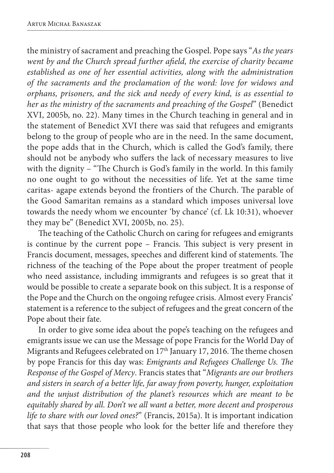the ministry of sacrament and preaching the Gospel. Pope says "*As the years went by and the Church spread further afield, the exercise of charity became established as one of her essential activities, along with the administration of the sacraments and the proclamation of the word: love for widows and orphans, prisoners, and the sick and needy of every kind, is as essential to her as the ministry of the sacraments and preaching of the Gospel*" (Benedict XVI, 2005b, no. 22). Many times in the Church teaching in general and in the statement of Benedict XVI there was said that refugees and emigrants belong to the group of people who are in the need. In the same document, the pope adds that in the Church, which is called the God's family, there should not be anybody who suffers the lack of necessary measures to live with the dignity – "The Church is God's family in the world. In this family no one ought to go without the necessities of life. Yet at the same time caritas- agape extends beyond the frontiers of the Church. The parable of the Good Samaritan remains as a standard which imposes universal love towards the needy whom we encounter 'by chance' (cf. Lk 10:31), whoever they may be" (Benedict XVI, 2005b, no. 25).

The teaching of the Catholic Church on caring for refugees and emigrants is continue by the current pope – Francis. This subject is very present in Francis document, messages, speeches and different kind of statements. The richness of the teaching of the Pope about the proper treatment of people who need assistance, including immigrants and refugees is so great that it would be possible to create a separate book on this subject. It is a response of the Pope and the Church on the ongoing refugee crisis. Almost every Francis' statement is a reference to the subject of refugees and the great concern of the Pope about their fate.

In order to give some idea about the pope's teaching on the refugees and emigrants issue we can use the Message of pope Francis for the World Day of Migrants and Refugees celebrated on 17<sup>th</sup> January 17, 2016. The theme chosen by pope Francis for this day was: *Emigrants and Refugees Challenge Us. The Response of the Gospel of Mercy*. Francis states that "*Migrants are our brothers and sisters in search of a better life, far away from poverty, hunger, exploitation and the unjust distribution of the planet's resources which are meant to be equitably shared by all. Don't we all want a better, more decent and prosperous life to share with our loved ones?*" (Francis, 2015a). It is important indication that says that those people who look for the better life and therefore they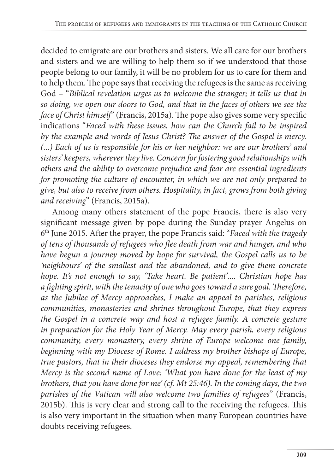decided to emigrate are our brothers and sisters. We all care for our brothers and sisters and we are willing to help them so if we understood that those people belong to our family, it will be no problem for us to care for them and to help them. The pope says that receiving the refugees is the same as receiving God – "*Biblical revelation urges us to welcome the stranger; it tells us that in so doing, we open our doors to God, and that in the faces of others we see the face of Christ himself*" (Francis, 2015a). The pope also gives some very specific indications "*Faced with these issues, how can the Church fail to be inspired by the example and words of Jesus Christ? The answer of the Gospel is mercy. (...) Each of us is responsible for his or her neighbor: we are our brothers' and sisters' keepers, wherever they live. Concern for fostering good relationships with others and the ability to overcome prejudice and fear are essential ingredients for promoting the culture of encounter, in which we are not only prepared to give, but also to receive from others. Hospitality, in fact, grows from both giving and receiving*" (Francis, 2015a).

Among many others statement of the pope Francis, there is also very significant message given by pope during the Sunday prayer Angelus on 6th June 2015. After the prayer, the pope Francis said: "*Faced with the tragedy of tens of thousands of refugees who flee death from war and hunger, and who have begun a journey moved by hope for survival, the Gospel calls us to be 'neighbours' of the smallest and the abandoned, and to give them concrete hope. It's not enough to say, 'Take heart. Be patient'.... Christian hope has a fighting spirit, with the tenacity of one who goes toward a sure goal. Therefore, as the Jubilee of Mercy approaches, I make an appeal to parishes, religious communities, monasteries and shrines throughout Europe, that they express the Gospel in a concrete way and host a refugee family. A concrete gesture in preparation for the Holy Year of Mercy. May every parish, every religious community, every monastery, every shrine of Europe welcome one family, beginning with my Diocese of Rome. I address my brother bishops of Europe, true pastors, that in their dioceses they endorse my appeal, remembering that Mercy is the second name of Love: 'What you have done for the least of my brothers, that you have done for me' (cf. Mt 25:46). In the coming days, the two parishes of the Vatican will also welcome two families of refugees*" (Francis, 2015b). This is very clear and strong call to the receiving the refugees. This is also very important in the situation when many European countries have doubts receiving refugees.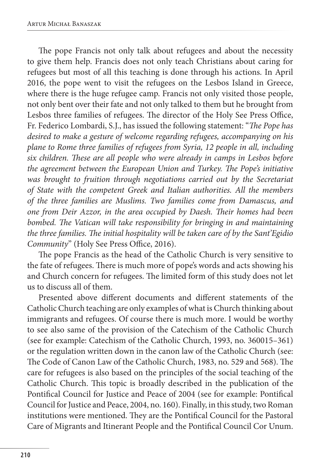The pope Francis not only talk about refugees and about the necessity to give them help. Francis does not only teach Christians about caring for refugees but most of all this teaching is done through his actions. In April 2016, the pope went to visit the refugees on the Lesbos Island in Greece, where there is the huge refugee camp. Francis not only visited those people, not only bent over their fate and not only talked to them but he brought from Lesbos three families of refugees. The director of the Holy See Press Office, Fr. Federico Lombardi, S.J., has issued the following statement: "*The Pope has desired to make a gesture of welcome regarding refugees, accompanying on his plane to Rome three families of refugees from Syria, 12 people in all, including six children. These are all people who were already in camps in Lesbos before the agreement between the European Union and Turkey. The Pope's initiative was brought to fruition through negotiations carried out by the Secretariat of State with the competent Greek and Italian authorities. All the members of the three families are Muslims. Two families come from Damascus, and one from Deir Azzor, in the area occupied by Daesh. Their homes had been bombed. The Vatican will take responsibility for bringing in and maintaining the three families. The initial hospitality will be taken care of by the Sant'Egidio Community*" (Holy See Press Office, 2016).

The pope Francis as the head of the Catholic Church is very sensitive to the fate of refugees. There is much more of pope's words and acts showing his and Church concern for refugees. The limited form of this study does not let us to discuss all of them.

Presented above different documents and different statements of the Catholic Church teaching are only examples of what is Church thinking about immigrants and refugees. Of course there is much more. I would be worthy to see also same of the provision of the Catechism of the Catholic Church (see for example: Catechism of the Catholic Church, 1993, no. 360015–361) or the regulation written down in the canon law of the Catholic Church (see: The Code of Canon Law of the Catholic Church, 1983, no. 529 and 568). The care for refugees is also based on the principles of the social teaching of the Catholic Church. This topic is broadly described in the publication of the Pontifical Council for Justice and Peace of 2004 (see for example: Pontifical Council for Justice and Peace, 2004, no. 160). Finally, in this study, two Roman institutions were mentioned. They are the Pontifical Council for the Pastoral Care of Migrants and Itinerant People and the Pontifical Council Cor Unum.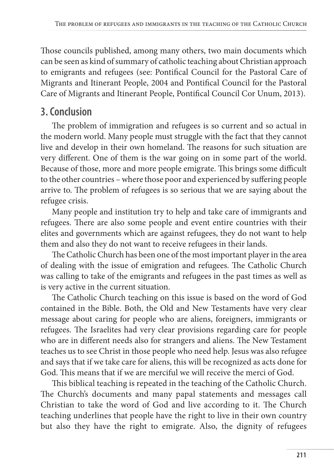Those councils published, among many others, two main documents which can be seen as kind of summary of catholic teaching about Christian approach to emigrants and refugees (see: Pontifical Council for the Pastoral Care of Migrants and Itinerant People, 2004 and Pontifical Council for the Pastoral Care of Migrants and Itinerant People, Pontifical Council Cor Unum, 2013).

# **3. Conclusion**

The problem of immigration and refugees is so current and so actual in the modern world. Many people must struggle with the fact that they cannot live and develop in their own homeland. The reasons for such situation are very different. One of them is the war going on in some part of the world. Because of those, more and more people emigrate. This brings some difficult to the other countries – where those poor and experienced by suffering people arrive to. The problem of refugees is so serious that we are saying about the refugee crisis.

Many people and institution try to help and take care of immigrants and refugees. There are also some people and event entire countries with their elites and governments which are against refugees, they do not want to help them and also they do not want to receive refugees in their lands.

The Catholic Church has been one of the most important player in the area of dealing with the issue of emigration and refugees. The Catholic Church was calling to take of the emigrants and refugees in the past times as well as is very active in the current situation.

The Catholic Church teaching on this issue is based on the word of God contained in the Bible. Both, the Old and New Testaments have very clear message about caring for people who are aliens, foreigners, immigrants or refugees. The Israelites had very clear provisions regarding care for people who are in different needs also for strangers and aliens. The New Testament teaches us to see Christ in those people who need help. Jesus was also refugee and says that if we take care for aliens, this will be recognized as acts done for God. This means that if we are merciful we will receive the merci of God.

This biblical teaching is repeated in the teaching of the Catholic Church. The Church's documents and many papal statements and messages call Christian to take the word of God and live according to it. The Church teaching underlines that people have the right to live in their own country but also they have the right to emigrate. Also, the dignity of refugees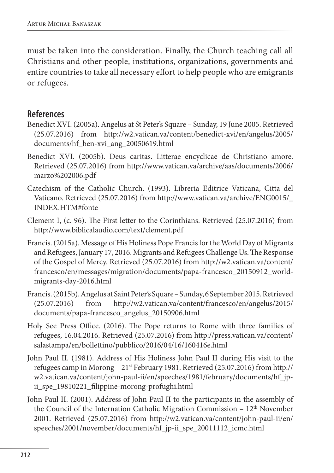must be taken into the consideration. Finally, the Church teaching call all Christians and other people, institutions, organizations, governments and entire countries to take all necessary effort to help people who are emigrants or refugees.

#### **References**

- Benedict XVI. (2005a). Angelus at St Peter's Square Sunday, 19 June 2005. Retrieved (25.07.2016) from http://w2.vatican.va/content/benedict-xvi/en/angelus/2005/ documents/hf\_ben-xvi\_ang\_20050619.html
- Benedict XVI. (2005b). Deus caritas. Litterae encyclicae de Christiano amore. Retrieved (25.07.2016) from http://www.vatican.va/archive/aas/documents/2006/ marzo%202006.pdf
- Catechism of the Catholic Church. (1993). Libreria Editrice Vaticana, Citta del Vaticano. Retrieved (25.07.2016) from http://www.vatican.va/archive/ENG0015/\_ INDEX.HTM#fonte
- Clement I, (c. 96). The First letter to the Corinthians. Retrieved (25.07.2016) from http://www.biblicalaudio.com/text/clement.pdf
- Francis. (2015a). Message of His Holiness Pope Francis for the World Day of Migrants and Refugees, January 17, 2016. Migrants and Refugees Challenge Us. The Response of the Gospel of Mercy. Retrieved (25.07.2016) from http://w2.vatican.va/content/ francesco/en/messages/migration/documents/papa-francesco\_20150912\_worldmigrants-day-2016.html
- Francis. (2015b). Angelus at Saint Peter's Square Sunday, 6 September 2015. Retrieved (25.07.2016) from http://w2.vatican.va/content/francesco/en/angelus/2015/ documents/papa-francesco\_angelus\_20150906.html
- Holy See Press Office. (2016). The Pope returns to Rome with three families of refugees, 16.04.2016. Retrieved (25.07.2016) from http://press.vatican.va/content/ salastampa/en/bollettino/pubblico/2016/04/16/160416e.html
- John Paul II. (1981). Address of His Holiness John Paul II during His visit to the refugees camp in Morong – 21st February 1981. Retrieved (25.07.2016) from http:// w2.vatican.va/content/john-paul-ii/en/speeches/1981/february/documents/hf\_jpii\_spe\_19810221\_filippine-morong-profughi.html
- John Paul II. (2001). Address of John Paul II to the participants in the assembly of the Council of the Internation Catholic Migration Commission - 12<sup>th</sup> November 2001. Retrieved (25.07.2016) from http://w2.vatican.va/content/john-paul-ii/en/ speeches/2001/november/documents/hf\_jp-ii\_spe\_20011112\_icmc.html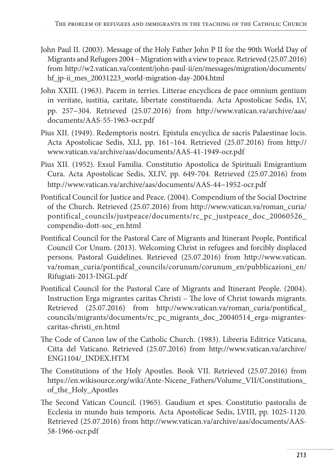- John Paul II. (2003). Message of the Holy Father John P II for the 90th World Day of Migrants and Refugees 2004 – Migration with a view to peace. Retrieved (25.07.2016) from http://w2.vatican.va/content/john-paul-ii/en/messages/migration/documents/ hf\_jp-ii\_mes\_20031223\_world-migration-day-2004.html
- John XXIII. (1963). Pacem in terries. Litterae encyclicea de pace omnium gentium in veritate, iustitia, caritate, libertate constituenda. Acta Apostolicae Sedis, LV, pp. 257–304. Retrieved (25.07.2016) from http://www.vatican.va/archive/aas/ documents/AAS-55-1963-ocr.pdf
- Pius XII. (1949). Redemptoris nostri. Epistula encyclica de sacris Palaestinae locis. Acta Apostolicae Sedis, XLI, pp. 161–164. Retrieved (25.07.2016) from http:// www.vatican.va/archive/aas/documents/AAS-41-1949-ocr.pdf
- Pius XII. (1952). Exsul Familia. Constitutio Apostolica de Spirituali Emigrantium Cura. Acta Apostolicae Sedis, XLIV, pp. 649-704. Retrieved (25.07.2016) from http://www.vatican.va/archive/aas/documents/AAS-44–1952-ocr.pdf
- Pontifical Council for Justice and Peace. (2004). Compendium of the Social Doctrine of the Church. Retrieved (25.07.2016) from http://www.vatican.va/roman\_curia/ pontifical\_councils/justpeace/documents/rc\_pc\_justpeace\_doc\_20060526\_ compendio-dott-soc\_en.html
- Pontifical Council for the Pastoral Care of Migrants and Itinerant People, Pontifical Council Cor Unum. (2013). Welcoming Christ in refugees and forcibly displaced persons. Pastoral Guidelines. Retrieved (25.07.2016) from http://www.vatican. va/roman\_curia/pontifical\_councils/corunum/corunum\_en/pubblicazioni\_en/ Rifugiati-2013-INGL.pdf
- Pontifical Council for the Pastoral Care of Migrants and Itinerant People. (2004). Instruction Erga migrantes caritas Christi – The love of Christ towards migrants. Retrieved (25.07.2016) from http://www.vatican.va/roman\_curia/pontifical\_ councils/migrants/documents/rc\_pc\_migrants\_doc\_20040514\_erga-migrantescaritas-christi\_en.html
- The Code of Canon law of the Catholic Church. (1983). Libreria Editrice Vaticana, Citta del Vaticano. Retrieved (25.07.2016) from http://www.vatican.va/archive/ ENG1104/\_INDEX.HTM
- The Constitutions of the Holy Apostles. Book VII. Retrieved (25.07.2016) from https://en.wikisource.org/wiki/Ante-Nicene\_Fathers/Volume\_VII/Constitutions\_ of\_the\_Holy\_Apostles
- The Second Vatican Council. (1965). Gaudium et spes. Constitutio pastoralis de Ecclesia in mundo huis temporis. Acta Apostolicae Sedis, LVIII, pp. 1025-1120. Retrieved (25.07.2016) from http://www.vatican.va/archive/aas/documents/AAS-58-1966-ocr.pdf